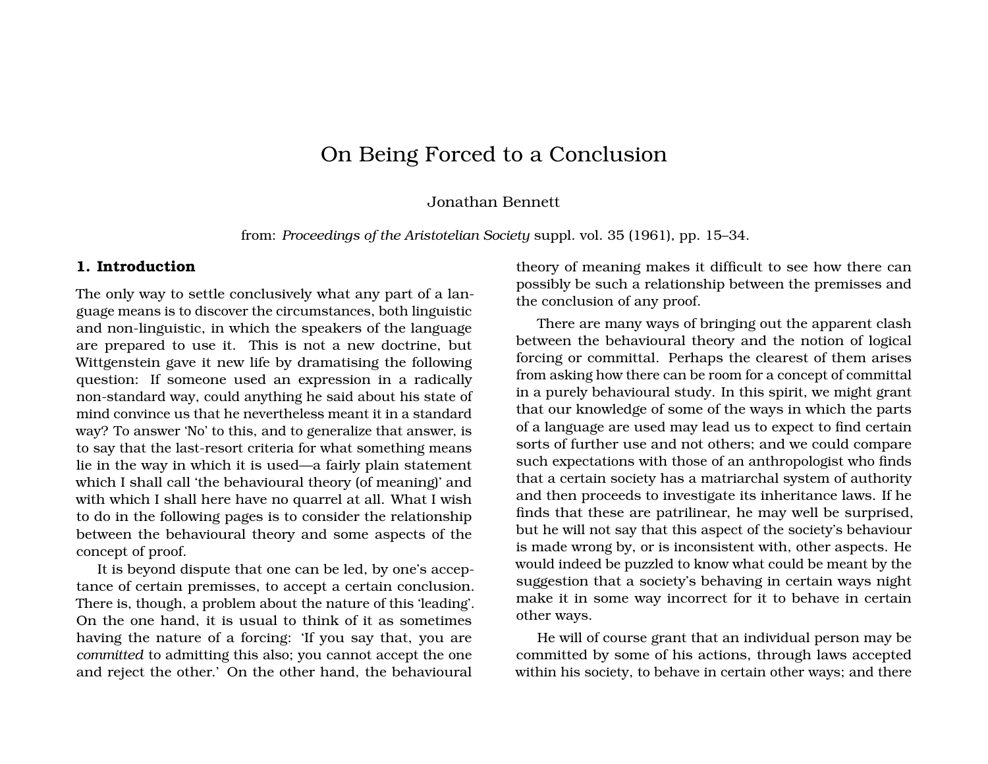# On Being Forced to a Conclusion

#### Jonathan Bennett

from: *Proceedings of the Aristotelian Society* suppl. vol. 35 (1961), pp. 15–34.

#### **1. Introduction**

The only way to settle conclusively what any part of a language means is to discover the circumstances, both linguistic and non-linguistic, in which the speakers of the language are prepared to use it. This is not a new doctrine, but Wittgenstein gave it new life by dramatising the following question: If someone used an expression in a radically non-standard way, could anything he said about his state of mind convince us that he nevertheless meant it in a standard way? To answer 'No' to this, and to generalize that answer, is to say that the last-resort criteria for what something means lie in the way in which it is used—a fairly plain statement which I shall call 'the behavioural theory (of meaning)' and with which I shall here have no quarrel at all. What I wish to do in the following pages is to consider the relationship between the behavioural theory and some aspects of the concept of proof.

It is beyond dispute that one can be led, by one's acceptance of certain premisses, to accept a certain conclusion. There is, though, a problem about the nature of this 'leading'. On the one hand, it is usual to think of it as sometimes having the nature of a forcing: 'If you say that, you are *committed* to admitting this also; you cannot accept the one and reject the other.' On the other hand, the behavioural

theory of meaning makes it difficult to see how there can possibly be such a relationship between the premisses and the conclusion of any proof.

There are many ways of bringing out the apparent clash between the behavioural theory and the notion of logical forcing or committal. Perhaps the clearest of them arises from asking how there can be room for a concept of committal in a purely behavioural study. In this spirit, we might grant that our knowledge of some of the ways in which the parts of a language are used may lead us to expect to find certain sorts of further use and not others; and we could compare such expectations with those of an anthropologist who finds that a certain society has a matriarchal system of authority and then proceeds to investigate its inheritance laws. If he finds that these are patrilinear, he may well be surprised, but he will not say that this aspect of the society's behaviour is made wrong by, or is inconsistent with, other aspects. He would indeed be puzzled to know what could be meant by the suggestion that a society's behaving in certain ways night make it in some way incorrect for it to behave in certain other ways.

He will of course grant that an individual person may be committed by some of his actions, through laws accepted within his society, to behave in certain other ways; and there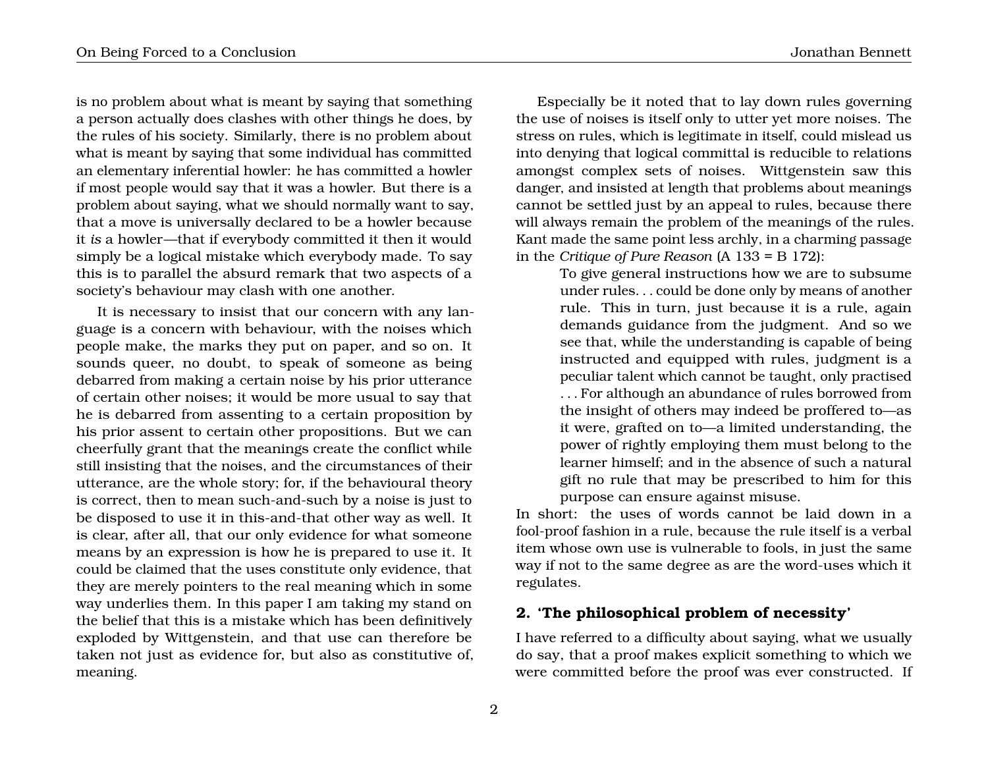is no problem about what is meant by saying that something a person actually does clashes with other things he does, by the rules of his society. Similarly, there is no problem about what is meant by saying that some individual has committed an elementary inferential howler: he has committed a howler if most people would say that it was a howler. But there is a problem about saying, what we should normally want to say, that a move is universally declared to be a howler because it *is* a howler—that if everybody committed it then it would simply be a logical mistake which everybody made. To say this is to parallel the absurd remark that two aspects of a society's behaviour may clash with one another.

It is necessary to insist that our concern with any language is a concern with behaviour, with the noises which people make, the marks they put on paper, and so on. It sounds queer, no doubt, to speak of someone as being debarred from making a certain noise by his prior utterance of certain other noises; it would be more usual to say that he is debarred from assenting to a certain proposition by his prior assent to certain other propositions. But we can cheerfully grant that the meanings create the conflict while still insisting that the noises, and the circumstances of their utterance, are the whole story; for, if the behavioural theory is correct, then to mean such-and-such by a noise is just to be disposed to use it in this-and-that other way as well. It is clear, after all, that our only evidence for what someone means by an expression is how he is prepared to use it. It could be claimed that the uses constitute only evidence, that they are merely pointers to the real meaning which in some way underlies them. In this paper I am taking my stand on the belief that this is a mistake which has been definitively exploded by Wittgenstein, and that use can therefore be taken not just as evidence for, but also as constitutive of, meaning.

Especially be it noted that to lay down rules governing the use of noises is itself only to utter yet more noises. The stress on rules, which is legitimate in itself, could mislead us into denying that logical committal is reducible to relations amongst complex sets of noises. Wittgenstein saw this danger, and insisted at length that problems about meanings cannot be settled just by an appeal to rules, because there will always remain the problem of the meanings of the rules. Kant made the same point less archly, in a charming passage in the *Critique of Pure Reason* (A 133 = B 172):

> To give general instructions how we are to subsume under rules. . . could be done only by means of another rule. This in turn, just because it is a rule, again demands guidance from the judgment. And so we see that, while the understanding is capable of being instructed and equipped with rules, judgment is a peculiar talent which cannot be taught, only practised . . . For although an abundance of rules borrowed from the insight of others may indeed be proffered to—as it were, grafted on to—a limited understanding, the power of rightly employing them must belong to the learner himself; and in the absence of such a natural gift no rule that may be prescribed to him for this purpose can ensure against misuse.

In short: the uses of words cannot be laid down in a fool-proof fashion in a rule, because the rule itself is a verbal item whose own use is vulnerable to fools, in just the same way if not to the same degree as are the word-uses which it regulates.

# **2. 'The philosophical problem of necessity'**

I have referred to a difficulty about saying, what we usually do say, that a proof makes explicit something to which we were committed before the proof was ever constructed. If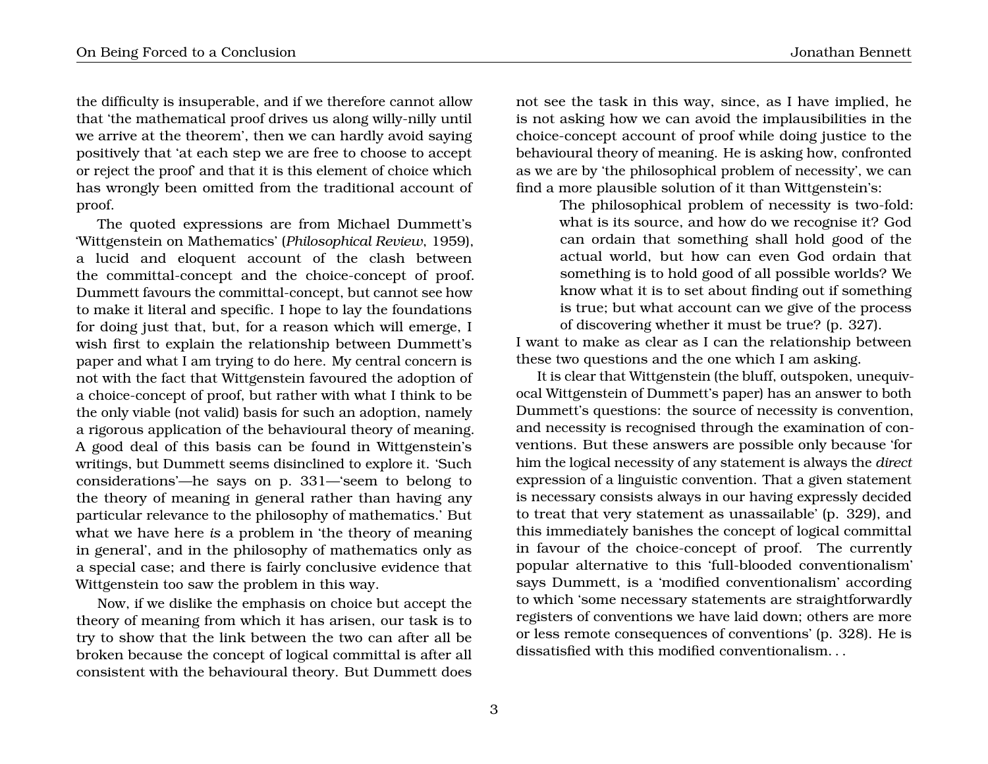proof.

the difficulty is insuperable, and if we therefore cannot allow that 'the mathematical proof drives us along willy-nilly until we arrive at the theorem', then we can hardly avoid saying positively that 'at each step we are free to choose to accept or reject the proof' and that it is this element of choice which has wrongly been omitted from the traditional account of

The quoted expressions are from Michael Dummett's 'Wittgenstein on Mathematics' (*Philosophical Review*, 1959), a lucid and eloquent account of the clash between the committal-concept and the choice-concept of proof. Dummett favours the committal-concept, but cannot see how to make it literal and specific. I hope to lay the foundations for doing just that, but, for a reason which will emerge, I wish first to explain the relationship between Dummett's paper and what I am trying to do here. My central concern is not with the fact that Wittgenstein favoured the adoption of a choice-concept of proof, but rather with what I think to be the only viable (not valid) basis for such an adoption, namely a rigorous application of the behavioural theory of meaning. A good deal of this basis can be found in Wittgenstein's writings, but Dummett seems disinclined to explore it. 'Such considerations'—he says on p. 331—'seem to belong to the theory of meaning in general rather than having any particular relevance to the philosophy of mathematics.' But what we have here *is* a problem in 'the theory of meaning in general', and in the philosophy of mathematics only as a special case; and there is fairly conclusive evidence that Wittgenstein too saw the problem in this way.

Now, if we dislike the emphasis on choice but accept the theory of meaning from which it has arisen, our task is to try to show that the link between the two can after all be broken because the concept of logical committal is after all consistent with the behavioural theory. But Dummett does

not see the task in this way, since, as I have implied, he is not asking how we can avoid the implausibilities in the choice-concept account of proof while doing justice to the behavioural theory of meaning. He is asking how, confronted as we are by 'the philosophical problem of necessity', we can find a more plausible solution of it than Wittgenstein's:

> The philosophical problem of necessity is two-fold: what is its source, and how do we recognise it? God can ordain that something shall hold good of the actual world, but how can even God ordain that something is to hold good of all possible worlds? We know what it is to set about finding out if something is true; but what account can we give of the process of discovering whether it must be true? (p. 327).

I want to make as clear as I can the relationship between these two questions and the one which I am asking.

It is clear that Wittgenstein (the bluff, outspoken, unequivocal Wittgenstein of Dummett's paper) has an answer to both Dummett's questions: the source of necessity is convention, and necessity is recognised through the examination of conventions. But these answers are possible only because 'for him the logical necessity of any statement is always the *direct* expression of a linguistic convention. That a given statement is necessary consists always in our having expressly decided to treat that very statement as unassailable' (p. 329), and this immediately banishes the concept of logical committal in favour of the choice-concept of proof. The currently popular alternative to this 'full-blooded conventionalism' says Dummett, is a 'modified conventionalism' according to which 'some necessary statements are straightforwardly registers of conventions we have laid down; others are more or less remote consequences of conventions' (p. 328). He is dissatisfied with this modified conventionalism. . .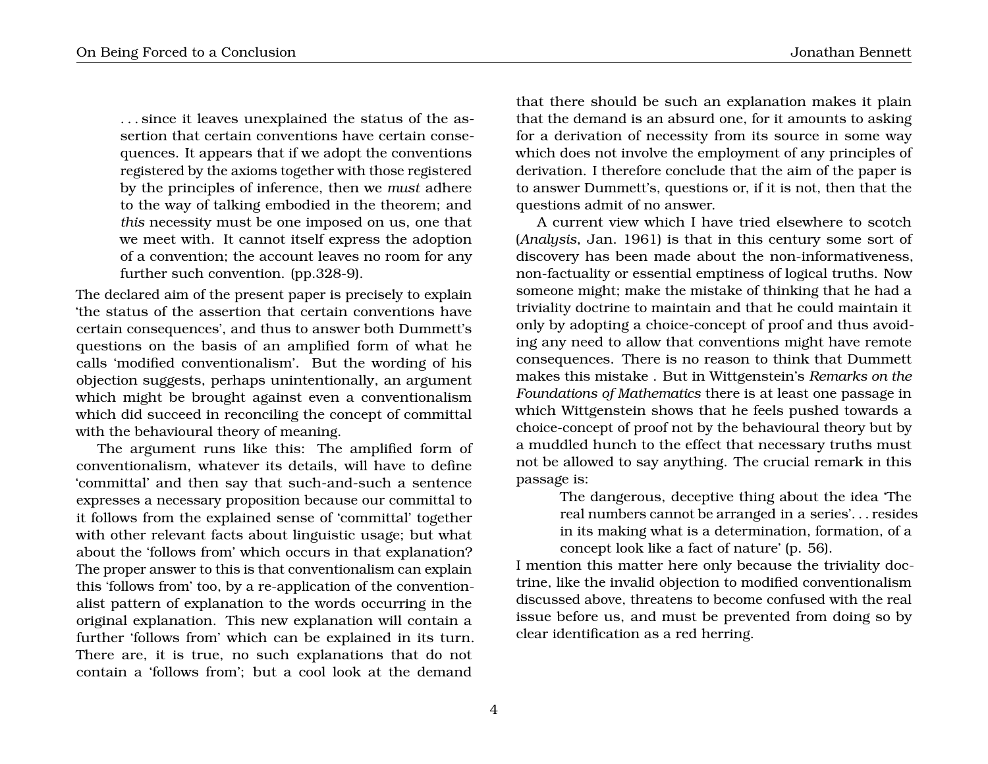. . . since it leaves unexplained the status of the assertion that certain conventions have certain consequences. It appears that if we adopt the conventions registered by the axioms together with those registered by the principles of inference, then we *must* adhere to the way of talking embodied in the theorem; and *this* necessity must be one imposed on us, one that we meet with. It cannot itself express the adoption of a convention; the account leaves no room for any further such convention. (pp.328-9).

The declared aim of the present paper is precisely to explain 'the status of the assertion that certain conventions have certain consequences', and thus to answer both Dummett's questions on the basis of an amplified form of what he calls 'modified conventionalism'. But the wording of his objection suggests, perhaps unintentionally, an argument which might be brought against even a conventionalism which did succeed in reconciling the concept of committal with the behavioural theory of meaning.

The argument runs like this: The amplified form of conventionalism, whatever its details, will have to define 'committal' and then say that such-and-such a sentence expresses a necessary proposition because our committal to it follows from the explained sense of 'committal' together with other relevant facts about linguistic usage; but what about the 'follows from' which occurs in that explanation? The proper answer to this is that conventionalism can explain this 'follows from' too, by a re-application of the conventionalist pattern of explanation to the words occurring in the original explanation. This new explanation will contain a further 'follows from' which can be explained in its turn. There are, it is true, no such explanations that do not contain a 'follows from'; but a cool look at the demand

that there should be such an explanation makes it plain that the demand is an absurd one, for it amounts to asking for a derivation of necessity from its source in some way which does not involve the employment of any principles of derivation. I therefore conclude that the aim of the paper is to answer Dummett's, questions or, if it is not, then that the questions admit of no answer.

A current view which I have tried elsewhere to scotch (*Analysis*, Jan. 1961) is that in this century some sort of discovery has been made about the non-informativeness, non-factuality or essential emptiness of logical truths. Now someone might; make the mistake of thinking that he had a triviality doctrine to maintain and that he could maintain it only by adopting a choice-concept of proof and thus avoiding any need to allow that conventions might have remote consequences. There is no reason to think that Dummett makes this mistake . But in Wittgenstein's *Remarks on the Foundations of Mathematics* there is at least one passage in which Wittgenstein shows that he feels pushed towards a choice-concept of proof not by the behavioural theory but by a muddled hunch to the effect that necessary truths must not be allowed to say anything. The crucial remark in this passage is:

> The dangerous, deceptive thing about the idea 'The real numbers cannot be arranged in a series'. . . resides in its making what is a determination, formation, of a concept look like a fact of nature' (p. 56).

I mention this matter here only because the triviality doctrine, like the invalid objection to modified conventionalism discussed above, threatens to become confused with the real issue before us, and must be prevented from doing so by clear identification as a red herring.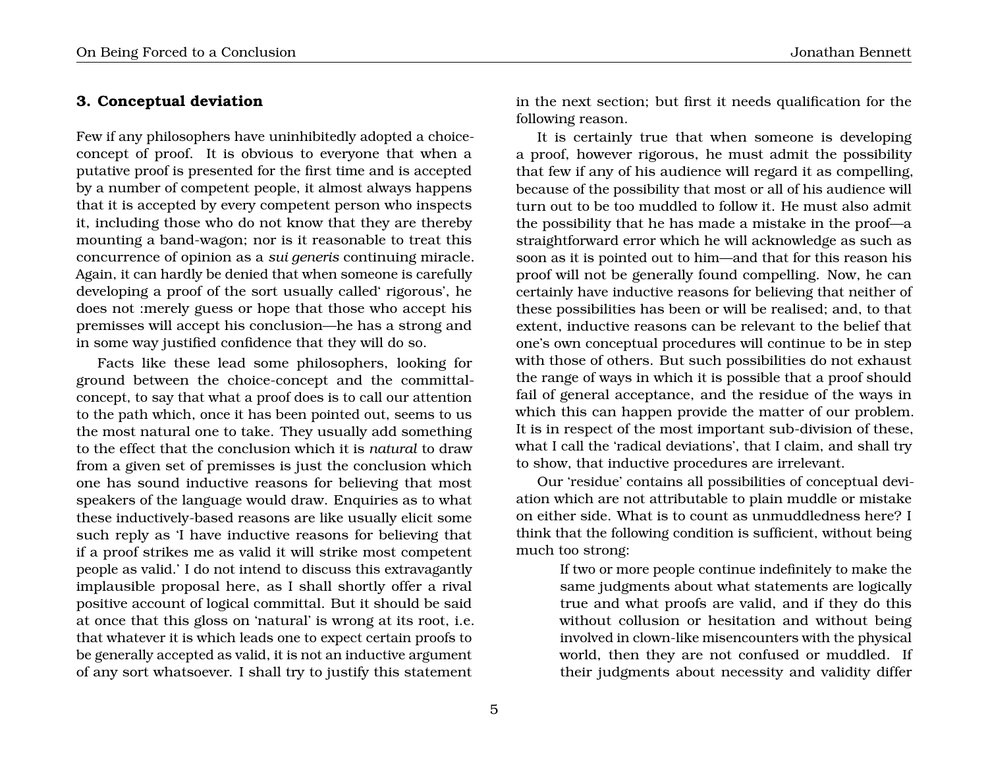#### **3. Conceptual deviation**

Few if any philosophers have uninhibitedly adopted a choiceconcept of proof. It is obvious to everyone that when a putative proof is presented for the first time and is accepted by a number of competent people, it almost always happens that it is accepted by every competent person who inspects it, including those who do not know that they are thereby mounting a band-wagon; nor is it reasonable to treat this concurrence of opinion as a *sui generis* continuing miracle. Again, it can hardly be denied that when someone is carefully developing a proof of the sort usually called' rigorous', he does not :merely guess or hope that those who accept his premisses will accept his conclusion—he has a strong and in some way justified confidence that they will do so.

Facts like these lead some philosophers, looking for ground between the choice-concept and the committalconcept, to say that what a proof does is to call our attention to the path which, once it has been pointed out, seems to us the most natural one to take. They usually add something to the effect that the conclusion which it is *natural* to draw from a given set of premisses is just the conclusion which one has sound inductive reasons for believing that most speakers of the language would draw. Enquiries as to what these inductively-based reasons are like usually elicit some such reply as 'I have inductive reasons for believing that if a proof strikes me as valid it will strike most competent people as valid.' I do not intend to discuss this extravagantly implausible proposal here, as I shall shortly offer a rival positive account of logical committal. But it should be said at once that this gloss on 'natural' is wrong at its root, i.e. that whatever it is which leads one to expect certain proofs to be generally accepted as valid, it is not an inductive argument of any sort whatsoever. I shall try to justify this statement

in the next section; but first it needs qualification for the following reason.

It is certainly true that when someone is developing a proof, however rigorous, he must admit the possibility that few if any of his audience will regard it as compelling, because of the possibility that most or all of his audience will turn out to be too muddled to follow it. He must also admit the possibility that he has made a mistake in the proof—a straightforward error which he will acknowledge as such as soon as it is pointed out to him—and that for this reason his proof will not be generally found compelling. Now, he can certainly have inductive reasons for believing that neither of these possibilities has been or will be realised; and, to that extent, inductive reasons can be relevant to the belief that one's own conceptual procedures will continue to be in step with those of others. But such possibilities do not exhaust the range of ways in which it is possible that a proof should fail of general acceptance, and the residue of the ways in which this can happen provide the matter of our problem. It is in respect of the most important sub-division of these, what I call the 'radical deviations', that I claim, and shall try to show, that inductive procedures are irrelevant.

Our 'residue' contains all possibilities of conceptual deviation which are not attributable to plain muddle or mistake on either side. What is to count as unmuddledness here? I think that the following condition is sufficient, without being much too strong:

> If two or more people continue indefinitely to make the same judgments about what statements are logically true and what proofs are valid, and if they do this without collusion or hesitation and without being involved in clown-like misencounters with the physical world, then they are not confused or muddled. If their judgments about necessity and validity differ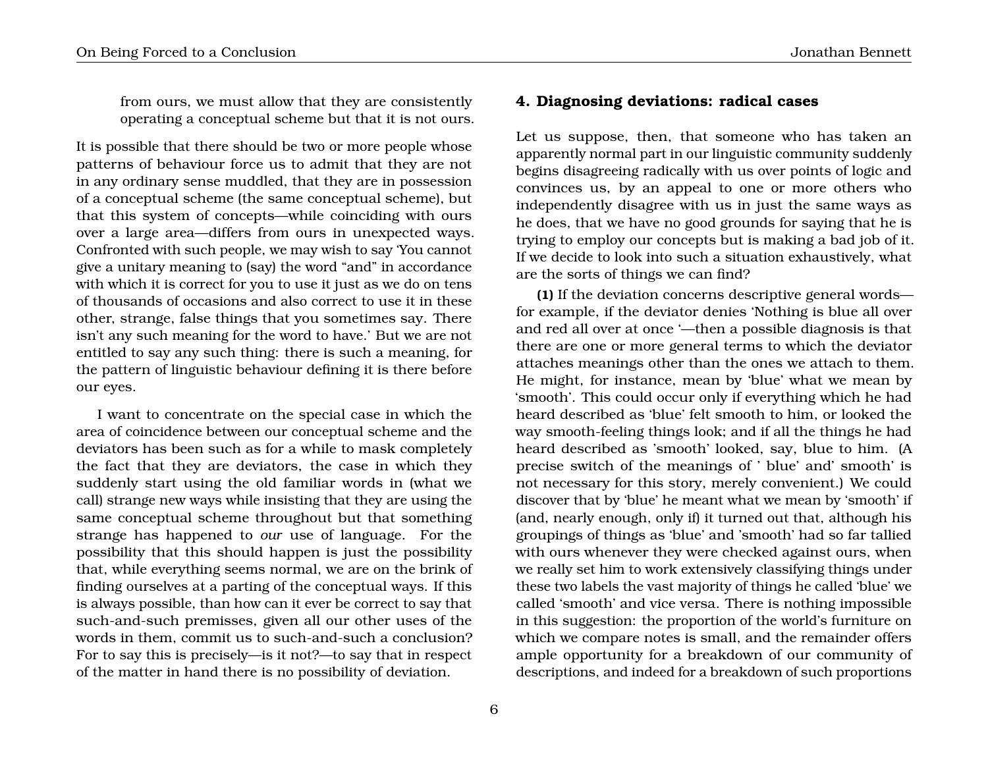from ours, we must allow that they are consistently operating a conceptual scheme but that it is not ours.

It is possible that there should be two or more people whose patterns of behaviour force us to admit that they are not in any ordinary sense muddled, that they are in possession of a conceptual scheme (the same conceptual scheme), but that this system of concepts—while coinciding with ours over a large area—differs from ours in unexpected ways. Confronted with such people, we may wish to say 'You cannot give a unitary meaning to (say) the word "and" in accordance with which it is correct for you to use it just as we do on tens of thousands of occasions and also correct to use it in these other, strange, false things that you sometimes say. There isn't any such meaning for the word to have.' But we are not entitled to say any such thing: there is such a meaning, for the pattern of linguistic behaviour defining it is there before our eyes.

I want to concentrate on the special case in which the area of coincidence between our conceptual scheme and the deviators has been such as for a while to mask completely the fact that they are deviators, the case in which they suddenly start using the old familiar words in (what we call) strange new ways while insisting that they are using the same conceptual scheme throughout but that something strange has happened to *our* use of language. For the possibility that this should happen is just the possibility that, while everything seems normal, we are on the brink of finding ourselves at a parting of the conceptual ways. If this is always possible, than how can it ever be correct to say that such-and-such premisses, given all our other uses of the words in them, commit us to such-and-such a conclusion? For to say this is precisely—is it not?—to say that in respect of the matter in hand there is no possibility of deviation.

### **4. Diagnosing deviations: radical cases**

Let us suppose, then, that someone who has taken an apparently normal part in our linguistic community suddenly begins disagreeing radically with us over points of logic and convinces us, by an appeal to one or more others who independently disagree with us in just the same ways as he does, that we have no good grounds for saying that he is trying to employ our concepts but is making a bad job of it. If we decide to look into such a situation exhaustively, what are the sorts of things we can find?

**(1)** If the deviation concerns descriptive general words for example, if the deviator denies 'Nothing is blue all over and red all over at once '—then a possible diagnosis is that there are one or more general terms to which the deviator attaches meanings other than the ones we attach to them. He might, for instance, mean by 'blue' what we mean by 'smooth'. This could occur only if everything which he had heard described as 'blue' felt smooth to him, or looked the way smooth-feeling things look; and if all the things he had heard described as 'smooth' looked, say, blue to him. (A precise switch of the meanings of ' blue' and' smooth' is not necessary for this story, merely convenient.) We could discover that by 'blue' he meant what we mean by 'smooth' if (and, nearly enough, only if) it turned out that, although his groupings of things as 'blue' and 'smooth' had so far tallied with ours whenever they were checked against ours, when we really set him to work extensively classifying things under these two labels the vast majority of things he called 'blue' we called 'smooth' and vice versa. There is nothing impossible in this suggestion: the proportion of the world's furniture on which we compare notes is small, and the remainder offers ample opportunity for a breakdown of our community of descriptions, and indeed for a breakdown of such proportions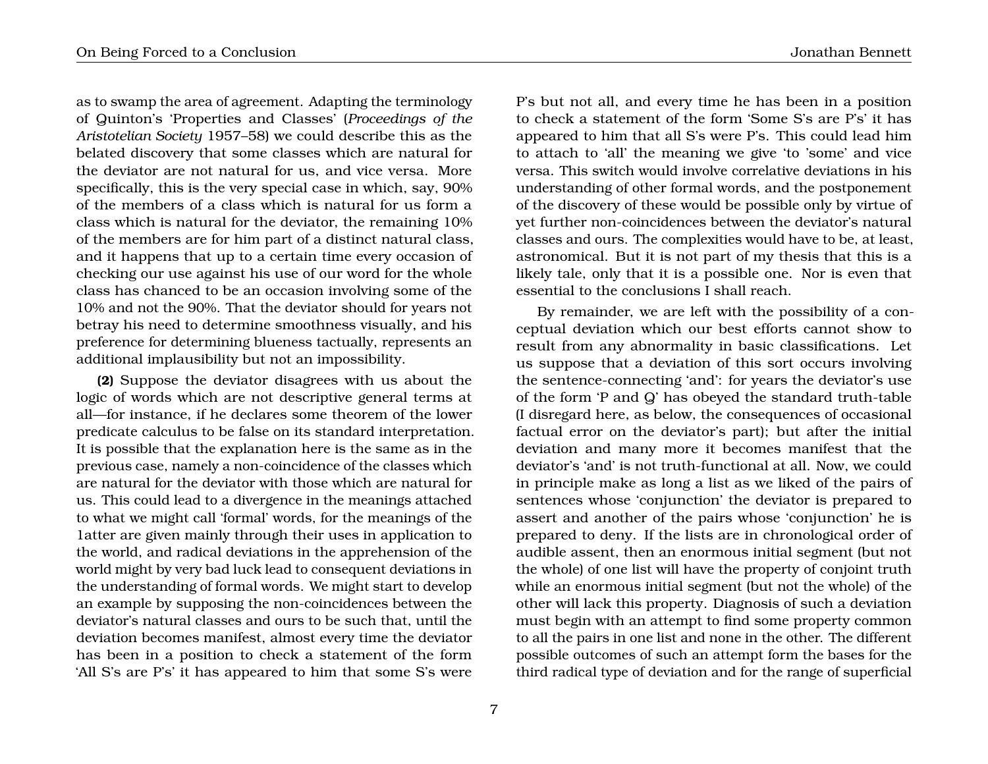as to swamp the area of agreement. Adapting the terminology of Quinton's 'Properties and Classes' (*Proceedings of the Aristotelian Society* 1957–58) we could describe this as the belated discovery that some classes which are natural for the deviator are not natural for us, and vice versa. More specifically, this is the very special case in which, say, 90% of the members of a class which is natural for us form a class which is natural for the deviator, the remaining 10% of the members are for him part of a distinct natural class, and it happens that up to a certain time every occasion of checking our use against his use of our word for the whole class has chanced to be an occasion involving some of the 10% and not the 90%. That the deviator should for years not betray his need to determine smoothness visually, and his preference for determining blueness tactually, represents an additional implausibility but not an impossibility.

**(2)** Suppose the deviator disagrees with us about the logic of words which are not descriptive general terms at all—for instance, if he declares some theorem of the lower predicate calculus to be false on its standard interpretation. It is possible that the explanation here is the same as in the previous case, namely a non-coincidence of the classes which are natural for the deviator with those which are natural for us. This could lead to a divergence in the meanings attached to what we might call 'formal' words, for the meanings of the 1atter are given mainly through their uses in application to the world, and radical deviations in the apprehension of the world might by very bad luck lead to consequent deviations in the understanding of formal words. We might start to develop an example by supposing the non-coincidences between the deviator's natural classes and ours to be such that, until the deviation becomes manifest, almost every time the deviator has been in a position to check a statement of the form 'All S's are P's' it has appeared to him that some S's were

P's but not all, and every time he has been in a position to check a statement of the form 'Some S's are P's' it has appeared to him that all S's were P's. This could lead him to attach to 'all' the meaning we give 'to 'some' and vice versa. This switch would involve correlative deviations in his understanding of other formal words, and the postponement of the discovery of these would be possible only by virtue of yet further non-coincidences between the deviator's natural classes and ours. The complexities would have to be, at least, astronomical. But it is not part of my thesis that this is a likely tale, only that it is a possible one. Nor is even that essential to the conclusions I shall reach.

By remainder, we are left with the possibility of a conceptual deviation which our best efforts cannot show to result from any abnormality in basic classifications. Let us suppose that a deviation of this sort occurs involving the sentence-connecting 'and': for years the deviator's use of the form 'P and Q' has obeyed the standard truth-table (I disregard here, as below, the consequences of occasional factual error on the deviator's part); but after the initial deviation and many more it becomes manifest that the deviator's 'and' is not truth-functional at all. Now, we could in principle make as long a list as we liked of the pairs of sentences whose 'conjunction' the deviator is prepared to assert and another of the pairs whose 'conjunction' he is prepared to deny. If the lists are in chronological order of audible assent, then an enormous initial segment (but not the whole) of one list will have the property of conjoint truth while an enormous initial segment (but not the whole) of the other will lack this property. Diagnosis of such a deviation must begin with an attempt to find some property common to all the pairs in one list and none in the other. The different possible outcomes of such an attempt form the bases for the third radical type of deviation and for the range of superficial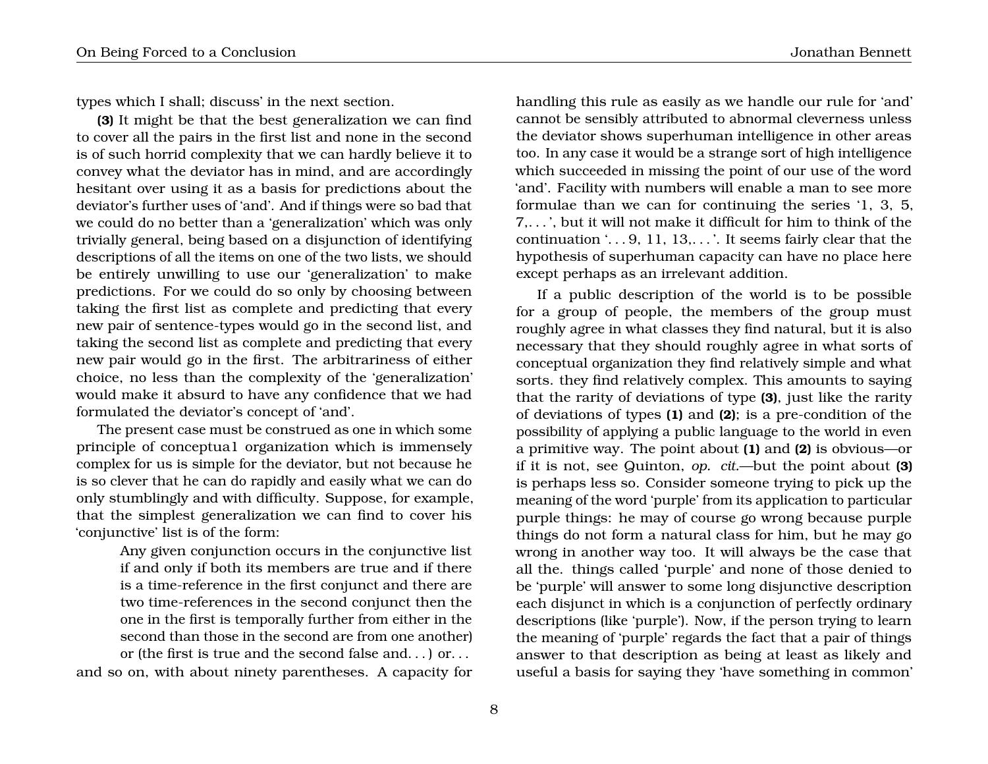types which I shall; discuss' in the next section.

**(3)** It might be that the best generalization we can find to cover all the pairs in the first list and none in the second is of such horrid complexity that we can hardly believe it to convey what the deviator has in mind, and are accordingly hesitant over using it as a basis for predictions about the deviator's further uses of 'and'. And if things were so bad that we could do no better than a 'generalization' which was only trivially general, being based on a disjunction of identifying descriptions of all the items on one of the two lists, we should be entirely unwilling to use our 'generalization' to make predictions. For we could do so only by choosing between taking the first list as complete and predicting that every new pair of sentence-types would go in the second list, and taking the second list as complete and predicting that every new pair would go in the first. The arbitrariness of either choice, no less than the complexity of the 'generalization' would make it absurd to have any confidence that we had formulated the deviator's concept of 'and'.

The present case must be construed as one in which some principle of conceptua1 organization which is immensely complex for us is simple for the deviator, but not because he is so clever that he can do rapidly and easily what we can do only stumblingly and with difficulty. Suppose, for example, that the simplest generalization we can find to cover his 'conjunctive' list is of the form:

Any given conjunction occurs in the conjunctive list if and only if both its members are true and if there is a time-reference in the first conjunct and there are two time-references in the second conjunct then the one in the first is temporally further from either in the second than those in the second are from one another) or (the first is true and the second false and. . . ) or. . . and so on, with about ninety parentheses. A capacity for

8

handling this rule as easily as we handle our rule for 'and' cannot be sensibly attributed to abnormal cleverness unless the deviator shows superhuman intelligence in other areas too. In any case it would be a strange sort of high intelligence which succeeded in missing the point of our use of the word 'and'. Facility with numbers will enable a man to see more formulae than we can for continuing the series '1, 3, 5, 7,. . . ', but it will not make it difficult for him to think of the continuation '. . . 9, 11, 13,. . . '. It seems fairly clear that the hypothesis of superhuman capacity can have no place here except perhaps as an irrelevant addition.

If a public description of the world is to be possible for a group of people, the members of the group must roughly agree in what classes they find natural, but it is also necessary that they should roughly agree in what sorts of conceptual organization they find relatively simple and what sorts. they find relatively complex. This amounts to saying that the rarity of deviations of type **(3)**, just like the rarity of deviations of types **(1)** and **(2)**; is a pre-condition of the possibility of applying a public language to the world in even a primitive way. The point about **(1)** and **(2)** is obvious—or if it is not, see Quinton, *op. cit.*—but the point about **(3)** is perhaps less so. Consider someone trying to pick up the meaning of the word 'purple' from its application to particular purple things: he may of course go wrong because purple things do not form a natural class for him, but he may go wrong in another way too. It will always be the case that all the. things called 'purple' and none of those denied to be 'purple' will answer to some long disjunctive description each disjunct in which is a conjunction of perfectly ordinary descriptions (like 'purple'). Now, if the person trying to learn the meaning of 'purple' regards the fact that a pair of things answer to that description as being at least as likely and useful a basis for saying they 'have something in common'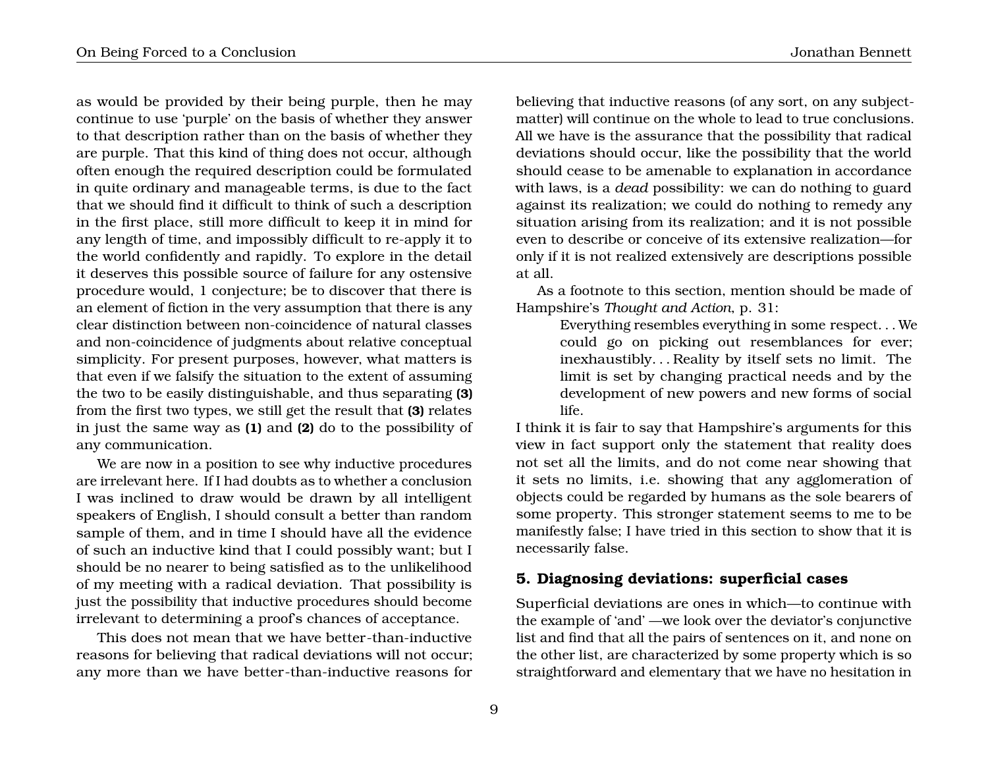as would be provided by their being purple, then he may continue to use 'purple' on the basis of whether they answer to that description rather than on the basis of whether they are purple. That this kind of thing does not occur, although often enough the required description could be formulated in quite ordinary and manageable terms, is due to the fact that we should find it difficult to think of such a description in the first place, still more difficult to keep it in mind for any length of time, and impossibly difficult to re-apply it to the world confidently and rapidly. To explore in the detail it deserves this possible source of failure for any ostensive procedure would, 1 conjecture; be to discover that there is an element of fiction in the very assumption that there is any clear distinction between non-coincidence of natural classes and non-coincidence of judgments about relative conceptual simplicity. For present purposes, however, what matters is that even if we falsify the situation to the extent of assuming the two to be easily distinguishable, and thus separating **(3)** from the first two types, we still get the result that **(3)** relates in just the same way as **(1)** and **(2)** do to the possibility of any communication.

We are now in a position to see why inductive procedures are irrelevant here. If I had doubts as to whether a conclusion I was inclined to draw would be drawn by all intelligent speakers of English, I should consult a better than random sample of them, and in time I should have all the evidence of such an inductive kind that I could possibly want; but I should be no nearer to being satisfied as to the unlikelihood of my meeting with a radical deviation. That possibility is just the possibility that inductive procedures should become irrelevant to determining a proof's chances of acceptance.

This does not mean that we have better-than-inductive reasons for believing that radical deviations will not occur; any more than we have better-than-inductive reasons for believing that inductive reasons (of any sort, on any subjectmatter) will continue on the whole to lead to true conclusions. All we have is the assurance that the possibility that radical deviations should occur, like the possibility that the world should cease to be amenable to explanation in accordance with laws, is a *dead* possibility: we can do nothing to guard against its realization; we could do nothing to remedy any situation arising from its realization; and it is not possible even to describe or conceive of its extensive realization—for only if it is not realized extensively are descriptions possible at all.

As a footnote to this section, mention should be made of Hampshire's *Thought and Action*, p. 31:

Everything resembles everything in some respect. . . We could go on picking out resemblances for ever; inexhaustibly. . . Reality by itself sets no limit. The limit is set by changing practical needs and by the development of new powers and new forms of social life.

I think it is fair to say that Hampshire's arguments for this view in fact support only the statement that reality does not set all the limits, and do not come near showing that it sets no limits, i.e. showing that any agglomeration of objects could be regarded by humans as the sole bearers of some property. This stronger statement seems to me to be manifestly false; I have tried in this section to show that it is necessarily false.

## **5. Diagnosing deviations: superficial cases**

Superficial deviations are ones in which—to continue with the example of 'and' —we look over the deviator's conjunctive list and find that all the pairs of sentences on it, and none on the other list, are characterized by some property which is so straightforward and elementary that we have no hesitation in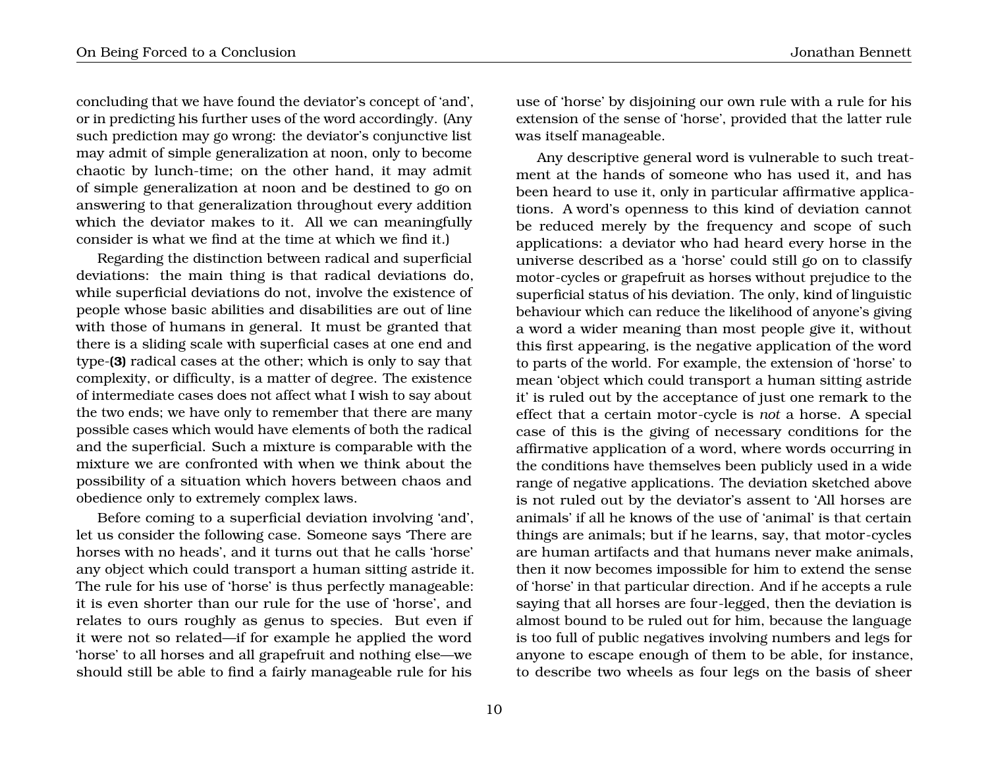concluding that we have found the deviator's concept of 'and', or in predicting his further uses of the word accordingly. (Any such prediction may go wrong: the deviator's conjunctive list may admit of simple generalization at noon, only to become chaotic by lunch-time; on the other hand, it may admit of simple generalization at noon and be destined to go on answering to that generalization throughout every addition which the deviator makes to it. All we can meaningfully consider is what we find at the time at which we find it.)

Regarding the distinction between radical and superficial deviations: the main thing is that radical deviations do, while superficial deviations do not, involve the existence of people whose basic abilities and disabilities are out of line with those of humans in general. It must be granted that there is a sliding scale with superficial cases at one end and type-**(3)** radical cases at the other; which is only to say that complexity, or difficulty, is a matter of degree. The existence of intermediate cases does not affect what I wish to say about the two ends; we have only to remember that there are many possible cases which would have elements of both the radical and the superficial. Such a mixture is comparable with the mixture we are confronted with when we think about the possibility of a situation which hovers between chaos and obedience only to extremely complex laws.

Before coming to a superficial deviation involving 'and', let us consider the following case. Someone says 'There are horses with no heads', and it turns out that he calls 'horse' any object which could transport a human sitting astride it. The rule for his use of 'horse' is thus perfectly manageable: it is even shorter than our rule for the use of 'horse', and relates to ours roughly as genus to species. But even if it were not so related—if for example he applied the word 'horse' to all horses and all grapefruit and nothing else—we should still be able to find a fairly manageable rule for his

use of 'horse' by disjoining our own rule with a rule for his extension of the sense of 'horse', provided that the latter rule was itself manageable.

Any descriptive general word is vulnerable to such treatment at the hands of someone who has used it, and has been heard to use it, only in particular affirmative applications. A word's openness to this kind of deviation cannot be reduced merely by the frequency and scope of such applications: a deviator who had heard every horse in the universe described as a 'horse' could still go on to classify motor-cycles or grapefruit as horses without prejudice to the superficial status of his deviation. The only, kind of linguistic behaviour which can reduce the likelihood of anyone's giving a word a wider meaning than most people give it, without this first appearing, is the negative application of the word to parts of the world. For example, the extension of 'horse' to mean 'object which could transport a human sitting astride it' is ruled out by the acceptance of just one remark to the effect that a certain motor-cycle is *not* a horse. A special case of this is the giving of necessary conditions for the affirmative application of a word, where words occurring in the conditions have themselves been publicly used in a wide range of negative applications. The deviation sketched above is not ruled out by the deviator's assent to 'All horses are animals' if all he knows of the use of 'animal' is that certain things are animals; but if he learns, say, that motor-cycles are human artifacts and that humans never make animals, then it now becomes impossible for him to extend the sense of 'horse' in that particular direction. And if he accepts a rule saying that all horses are four-legged, then the deviation is almost bound to be ruled out for him, because the language is too full of public negatives involving numbers and legs for anyone to escape enough of them to be able, for instance, to describe two wheels as four legs on the basis of sheer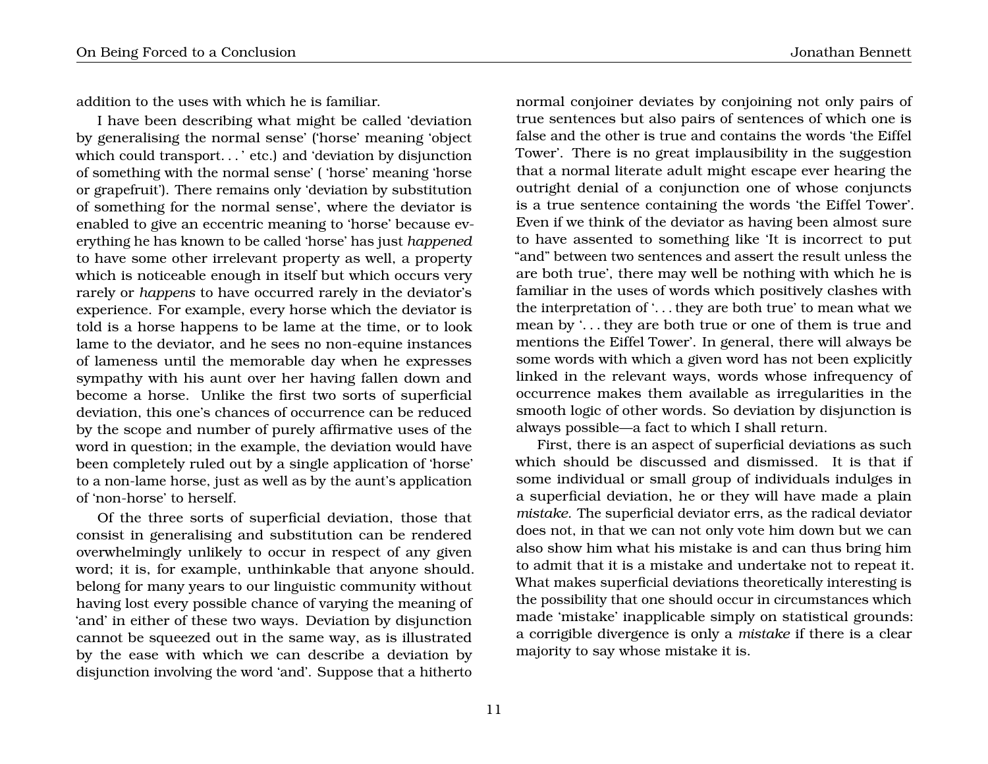addition to the uses with which he is familiar.

I have been describing what might be called 'deviation by generalising the normal sense' ('horse' meaning 'object which could transport. . . ' etc.) and 'deviation by disjunction of something with the normal sense' ( 'horse' meaning 'horse or grapefruit'). There remains only 'deviation by substitution of something for the normal sense', where the deviator is enabled to give an eccentric meaning to 'horse' because everything he has known to be called 'horse' has just *happened* to have some other irrelevant property as well, a property which is noticeable enough in itself but which occurs very rarely or *happens* to have occurred rarely in the deviator's experience. For example, every horse which the deviator is told is a horse happens to be lame at the time, or to look lame to the deviator, and he sees no non-equine instances of lameness until the memorable day when he expresses sympathy with his aunt over her having fallen down and become a horse. Unlike the first two sorts of superficial deviation, this one's chances of occurrence can be reduced by the scope and number of purely affirmative uses of the word in question; in the example, the deviation would have been completely ruled out by a single application of 'horse' to a non-lame horse, just as well as by the aunt's application of 'non-horse' to herself.

Of the three sorts of superficial deviation, those that consist in generalising and substitution can be rendered overwhelmingly unlikely to occur in respect of any given word; it is, for example, unthinkable that anyone should. belong for many years to our linguistic community without having lost every possible chance of varying the meaning of 'and' in either of these two ways. Deviation by disjunction cannot be squeezed out in the same way, as is illustrated by the ease with which we can describe a deviation by disjunction involving the word 'and'. Suppose that a hitherto

normal conjoiner deviates by conjoining not only pairs of true sentences but also pairs of sentences of which one is false and the other is true and contains the words 'the Eiffel Tower'. There is no great implausibility in the suggestion that a normal literate adult might escape ever hearing the outright denial of a conjunction one of whose conjuncts is a true sentence containing the words 'the Eiffel Tower'. Even if we think of the deviator as having been almost sure to have assented to something like 'It is incorrect to put "and" between two sentences and assert the result unless the are both true', there may well be nothing with which he is familiar in the uses of words which positively clashes with the interpretation of '. . . they are both true' to mean what we mean by '. . . they are both true or one of them is true and mentions the Eiffel Tower'. In general, there will always be some words with which a given word has not been explicitly linked in the relevant ways, words whose infrequency of occurrence makes them available as irregularities in the smooth logic of other words. So deviation by disjunction is always possible—a fact to which I shall return.

First, there is an aspect of superficial deviations as such which should be discussed and dismissed. It is that if some individual or small group of individuals indulges in a superficial deviation, he or they will have made a plain *mistake*. The superficial deviator errs, as the radical deviator does not, in that we can not only vote him down but we can also show him what his mistake is and can thus bring him to admit that it is a mistake and undertake not to repeat it. What makes superficial deviations theoretically interesting is the possibility that one should occur in circumstances which made 'mistake' inapplicable simply on statistical grounds: a corrigible divergence is only a *mistake* if there is a clear majority to say whose mistake it is.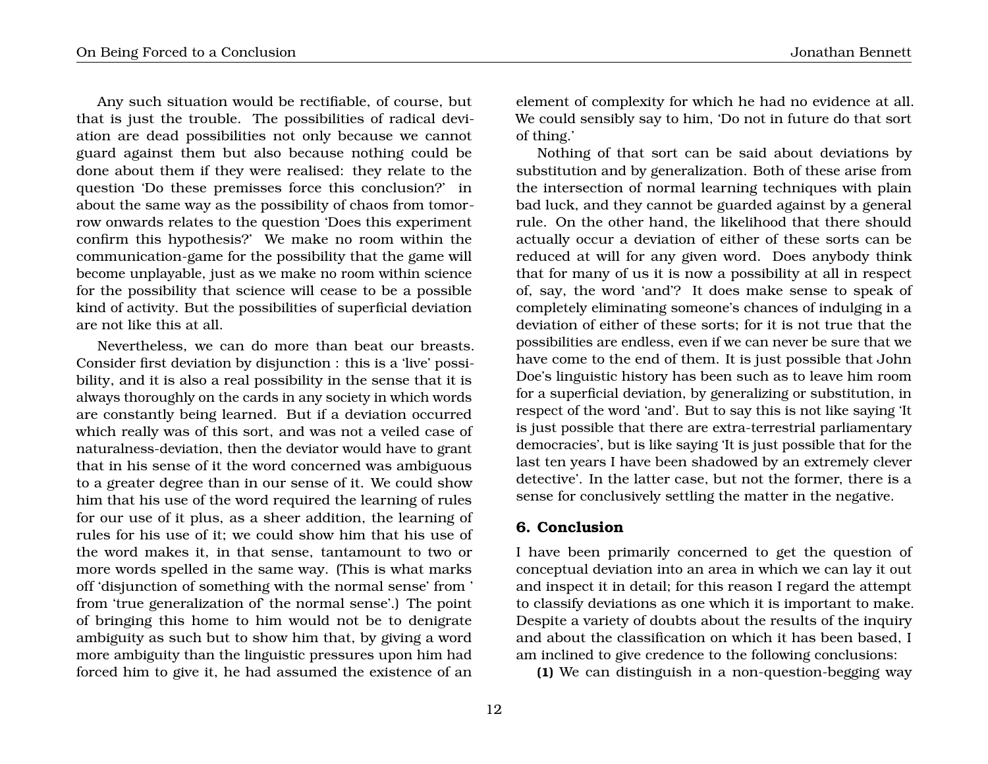Any such situation would be rectifiable, of course, but that is just the trouble. The possibilities of radical deviation are dead possibilities not only because we cannot guard against them but also because nothing could be done about them if they were realised: they relate to the question 'Do these premisses force this conclusion?' in about the same way as the possibility of chaos from tomorrow onwards relates to the question 'Does this experiment confirm this hypothesis?' We make no room within the communication-game for the possibility that the game will become unplayable, just as we make no room within science for the possibility that science will cease to be a possible kind of activity. But the possibilities of superficial deviation are not like this at all.

Nevertheless, we can do more than beat our breasts. Consider first deviation by disjunction : this is a 'live' possibility, and it is also a real possibility in the sense that it is always thoroughly on the cards in any society in which words are constantly being learned. But if a deviation occurred which really was of this sort, and was not a veiled case of naturalness-deviation, then the deviator would have to grant that in his sense of it the word concerned was ambiguous to a greater degree than in our sense of it. We could show him that his use of the word required the learning of rules for our use of it plus, as a sheer addition, the learning of rules for his use of it; we could show him that his use of the word makes it, in that sense, tantamount to two or more words spelled in the same way. (This is what marks off 'disjunction of something with the normal sense' from ' from 'true generalization of' the normal sense'.) The point of bringing this home to him would not be to denigrate ambiguity as such but to show him that, by giving a word more ambiguity than the linguistic pressures upon him had forced him to give it, he had assumed the existence of an

element of complexity for which he had no evidence at all. We could sensibly say to him, 'Do not in future do that sort of thing.'

Nothing of that sort can be said about deviations by substitution and by generalization. Both of these arise from the intersection of normal learning techniques with plain bad luck, and they cannot be guarded against by a general rule. On the other hand, the likelihood that there should actually occur a deviation of either of these sorts can be reduced at will for any given word. Does anybody think that for many of us it is now a possibility at all in respect of, say, the word 'and'? It does make sense to speak of completely eliminating someone's chances of indulging in a deviation of either of these sorts; for it is not true that the possibilities are endless, even if we can never be sure that we have come to the end of them. It is just possible that John Doe's linguistic history has been such as to leave him room for a superficial deviation, by generalizing or substitution, in respect of the word 'and'. But to say this is not like saying 'It is just possible that there are extra-terrestrial parliamentary democracies', but is like saying 'It is just possible that for the last ten years I have been shadowed by an extremely clever detective'. In the latter case, but not the former, there is a sense for conclusively settling the matter in the negative.

#### **6. Conclusion**

I have been primarily concerned to get the question of conceptual deviation into an area in which we can lay it out and inspect it in detail; for this reason I regard the attempt to classify deviations as one which it is important to make. Despite a variety of doubts about the results of the inquiry and about the classification on which it has been based, I am inclined to give credence to the following conclusions:

**(1)** We can distinguish in a non-question-begging way